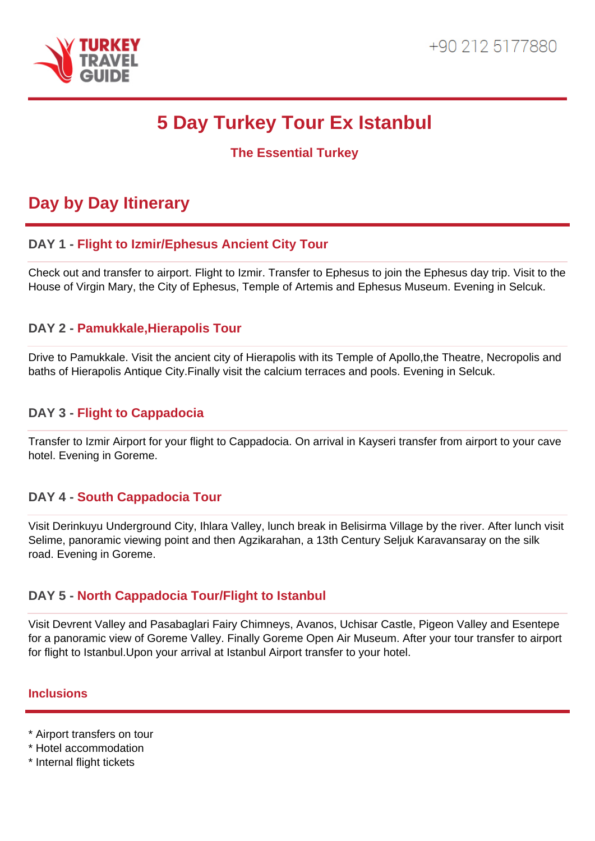

# **5 Day Turkey Tour Ex Istanbul**

**The Essential Turkey**

# **Day by Day Itinerary**

# **DAY 1 - Flight to Izmir/Ephesus Ancient City Tour**

Check out and transfer to airport. Flight to Izmir. Transfer to Ephesus to join the Ephesus day trip. Visit to the House of Virgin Mary, the City of Ephesus, Temple of Artemis and Ephesus Museum. Evening in Selcuk.

## **DAY 2 - Pamukkale,Hierapolis Tour**

Drive to Pamukkale. Visit the ancient city of Hierapolis with its Temple of Apollo,the Theatre, Necropolis and baths of Hierapolis Antique City.Finally visit the calcium terraces and pools. Evening in Selcuk.

#### **DAY 3 - Flight to Cappadocia**

Transfer to Izmir Airport for your flight to Cappadocia. On arrival in Kayseri transfer from airport to your cave hotel. Evening in Goreme.

#### **DAY 4 - South Cappadocia Tour**

Visit Derinkuyu Underground City, Ihlara Valley, lunch break in Belisirma Village by the river. After lunch visit Selime, panoramic viewing point and then Agzikarahan, a 13th Century Seljuk Karavansaray on the silk road. Evening in Goreme.

#### **DAY 5 - North Cappadocia Tour/Flight to Istanbul**

Visit Devrent Valley and Pasabaglari Fairy Chimneys, Avanos, Uchisar Castle, Pigeon Valley and Esentepe for a panoramic view of Goreme Valley. Finally Goreme Open Air Museum. After your tour transfer to airport for flight to Istanbul.Upon your arrival at Istanbul Airport transfer to your hotel.

#### **Inclusions**

- \* Airport transfers on tour
- \* Hotel accommodation
- \* Internal flight tickets